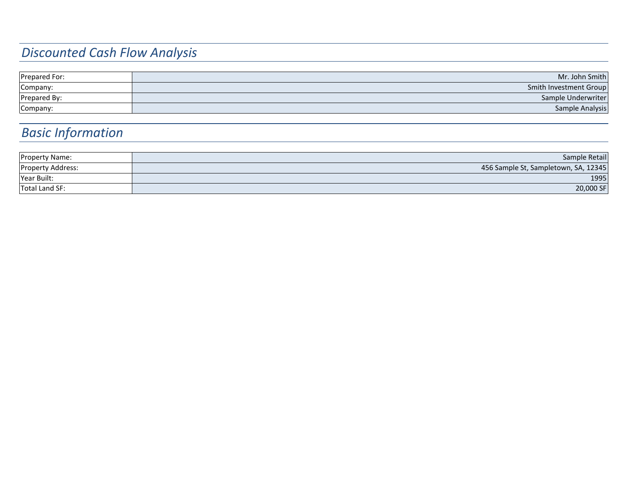# *Discounted Cash Flow Analysis*

| Prepared For: | Mr. John Smith         |
|---------------|------------------------|
| Company:      | Smith Investment Group |
| Prepared By:  | Sample Underwriter     |
| Company:      | Sample Analysis        |

# *Basic Information*

| <b>Property Name:</b> | Sample Retail                        |
|-----------------------|--------------------------------------|
| Property Address:     | 456 Sample St, Sampletown, SA, 12345 |
| Year Built:           | 1995                                 |
| Total Land SF:        | 20,000 SF                            |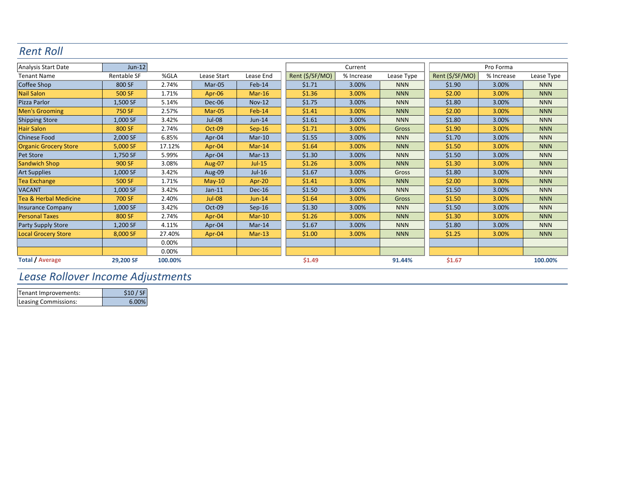#### *Rent Roll*

| Analysis Start Date              | $Jun-12$    |         |               |               |                 | Current    |            |                 | Pro Forma  |            |
|----------------------------------|-------------|---------|---------------|---------------|-----------------|------------|------------|-----------------|------------|------------|
| <b>Tenant Name</b>               | Rentable SF | %GLA    | Lease Start   | Lease End     | Rent (\$/SF/MO) | % Increase | Lease Type | Rent (\$/SF/MO) | % Increase | Lease Type |
| Coffee Shop                      | 800 SF      | 2.74%   | Mar-05        | Feb-14        | \$1.71          | 3.00%      | <b>NNN</b> | \$1.90          | 3.00%      | <b>NNN</b> |
| <b>Nail Salon</b>                | 500 SF      | 1.71%   | Apr-06        | $Mar-16$      | \$1.36          | 3.00%      | <b>NNN</b> | \$2.00          | 3.00%      | <b>NNN</b> |
| Pizza Parlor                     | 1,500 SF    | 5.14%   | Dec-06        | <b>Nov-12</b> | \$1.75          | 3.00%      | <b>NNN</b> | \$1.80          | 3.00%      | <b>NNN</b> |
| <b>Men's Grooming</b>            | 750 SF      | 2.57%   | Mar-05        | Feb-14        | \$1.41          | 3.00%      | <b>NNN</b> | \$2.00          | 3.00%      | <b>NNN</b> |
| <b>Shipping Store</b>            | 1,000 SF    | 3.42%   | <b>Jul-08</b> | <b>Jun-14</b> | \$1.61          | 3.00%      | <b>NNN</b> | \$1.80          | 3.00%      | <b>NNN</b> |
| <b>Hair Salon</b>                | 800 SF      | 2.74%   | Oct-09        | $Sep-16$      | \$1.71          | 3.00%      | Gross      | \$1.90          | 3.00%      | <b>NNN</b> |
| <b>Chinese Food</b>              | 2,000 SF    | 6.85%   | Apr-04        | $Mar-10$      | \$1.55          | 3.00%      | <b>NNN</b> | \$1.70          | 3.00%      | <b>NNN</b> |
| <b>Organic Grocery Store</b>     | 5,000 SF    | 17.12%  | Apr-04        | $Mar-14$      | \$1.64          | 3.00%      | <b>NNN</b> | \$1.50          | 3.00%      | <b>NNN</b> |
| Pet Store                        | 1,750 SF    | 5.99%   | Apr-04        | $Mar-13$      | \$1.30          | 3.00%      | <b>NNN</b> | \$1.50          | 3.00%      | <b>NNN</b> |
| Sandwich Shop                    | 900 SF      | 3.08%   | <b>Aug-07</b> | $Jul-15$      | \$1.26          | 3.00%      | <b>NNN</b> | \$1.30          | 3.00%      | <b>NNN</b> |
| <b>Art Supplies</b>              | 1,000 SF    | 3.42%   | Aug-09        | $Jul-16$      | \$1.67          | 3.00%      | Gross      | \$1.80          | 3.00%      | <b>NNN</b> |
| <b>Tea Exchange</b>              | 500 SF      | 1.71%   | $May-10$      | Apr-20        | \$1.41          | 3.00%      | <b>NNN</b> | \$2.00          | 3.00%      | <b>NNN</b> |
| <b>VACANT</b>                    | 1,000 SF    | 3.42%   | $Jan-11$      | $Dec-16$      | \$1.50          | 3.00%      | <b>NNN</b> | \$1.50          | 3.00%      | <b>NNN</b> |
| <b>Tea &amp; Herbal Medicine</b> | 700 SF      | 2.40%   | $Jul-08$      | $Jun-14$      | \$1.64          | 3.00%      | Gross      | \$1.50          | 3.00%      | <b>NNN</b> |
| <b>Insurance Company</b>         | 1,000 SF    | 3.42%   | Oct-09        | $Sep-16$      | \$1.30          | 3.00%      | <b>NNN</b> | \$1.50          | 3.00%      | <b>NNN</b> |
| <b>Personal Taxes</b>            | 800 SF      | 2.74%   | Apr-04        | $Mar-10$      | \$1.26          | 3.00%      | <b>NNN</b> | \$1.30          | 3.00%      | <b>NNN</b> |
| <b>Party Supply Store</b>        | 1,200 SF    | 4.11%   | Apr-04        | $Mar-14$      | \$1.67          | 3.00%      | <b>NNN</b> | \$1.80          | 3.00%      | <b>NNN</b> |
| <b>Local Grocery Store</b>       | 8,000 SF    | 27.40%  | Apr-04        | $Mar-13$      | \$1.00          | 3.00%      | <b>NNN</b> | \$1.25          | 3.00%      | <b>NNN</b> |
|                                  |             | 0.00%   |               |               |                 |            |            |                 |            |            |
|                                  |             | 0.00%   |               |               |                 |            |            |                 |            |            |
| <b>Total / Average</b>           | 29,200 SF   | 100.00% |               |               | \$1.49          |            | 91.44%     | \$1.67          |            | 100.00%    |

#### *Lease Rollover Income Adjustments*

| Tenant Improvements: | \$10/SE |
|----------------------|---------|
| Leasing Commissions: | 6.00%   |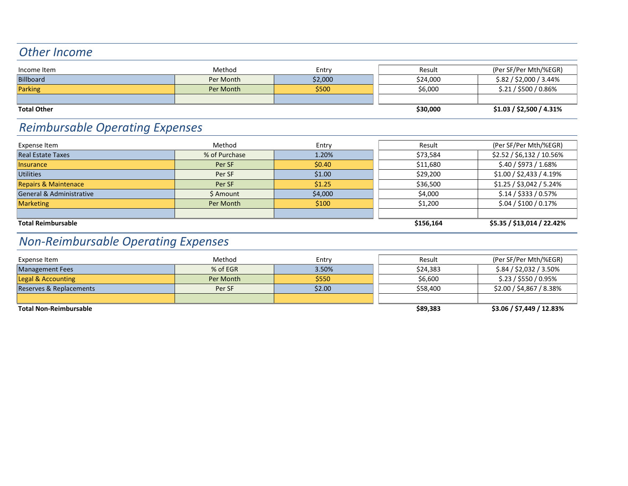#### *Other Income*

| Income Item        | Method    | Entry   | Result   | (Per SF/Per Mth/%EGR)    |
|--------------------|-----------|---------|----------|--------------------------|
| Billboard          | Per Month | \$2,000 | \$24,000 | $$.82 / $2,000 / 3.44\%$ |
| Parking            | Per Month | \$500   | \$6,000  | $$.21 / $500 / 0.86\%$   |
|                    |           |         |          |                          |
| <b>Total Other</b> |           |         | \$30,000 | \$1.03 / \$2,500 / 4.31% |

### *Reimbursable Operating Expenses*

| Expense Item                    | Method        | Entry   | Result    | (Per SF/Per Mth/%EGR)      |
|---------------------------------|---------------|---------|-----------|----------------------------|
| <b>Real Estate Taxes</b>        | % of Purchase | 1.20%   | \$73,584  | \$2.52 / \$6,132 / 10.56%  |
| <b>Insurance</b>                | Per SF        | \$0.40  | \$11,680  | \$.40 / \$973 / 1.68%      |
| Utilities                       | Per SF        | \$1.00  | \$29,200  | $$1.00 / $2,433 / 4.19\%$  |
| <b>Repairs &amp; Maintenace</b> | Per SF        | \$1.25  | \$36,500  | $$1.25 / $3,042 / 5.24\%$  |
| General & Administrative        | \$ Amount     | \$4,000 | \$4,000   | $$.14 / $333 / 0.57\%$     |
| Marketing                       | Per Month     | \$100   | \$1,200   | $$.04 / $100 / 0.17\%$     |
|                                 |               |         |           |                            |
| <b>Total Reimbursable</b>       |               |         | \$156,164 | \$5.35 / \$13,014 / 22.42% |

# *Non-Reimbursable Operating Expenses*

| Expense Item                  | Method     | Entry  | Result   | (Per SF/Per Mth/%EGR)     |
|-------------------------------|------------|--------|----------|---------------------------|
| <b>Management Fees</b>        | $%$ of EGR | 3.50%  | \$24,383 | $$.84 / $2,032 / 3.50\%$  |
| Legal & Accounting            | Per Month  | \$550  | \$6,600  | $$.23 / $550 / 0.95\%$    |
| Reserves & Replacements       | Per SF     | \$2.00 | \$58,400 | \$2.00 / \$4,867 / 8.38%  |
|                               |            |        |          |                           |
| <b>Total Non-Reimbursable</b> |            |        | \$89,383 | \$3.06 / \$7,449 / 12.83% |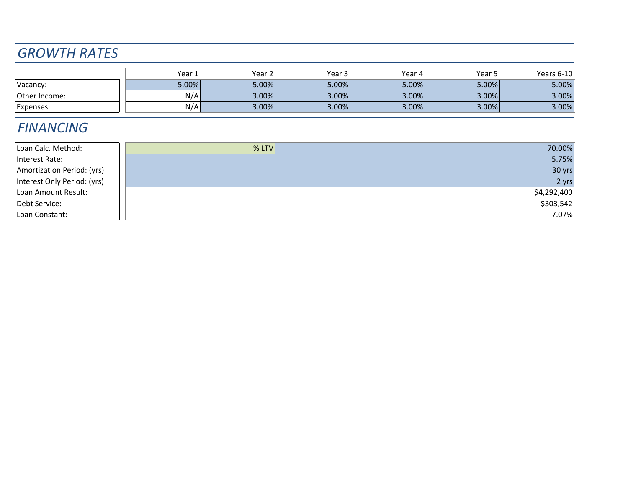### *GROWTH RATES*

|               | Year  | Year. | Year  | Year 4 | Year 5 | Years 6-10 |
|---------------|-------|-------|-------|--------|--------|------------|
| Vacancy:      | 5.00% | 5.00% | 5.00% | 5.00%  | 5.00%  | 5.00%      |
| Other Income: | N/A   | 3.00% | 3.00% | 3.00%  | 3.00%  | 3.00%      |
| Expenses:     | N/A   | 3.00% | 3.00% | 3.00%  | 3.00%  | 3.00%      |

### *FINANCING*

| Loan Calc. Method:          | $%$ LTV | 70.00%            |
|-----------------------------|---------|-------------------|
| Interest Rate:              |         | 5.75%             |
| Amortization Period: (yrs)  |         | $30 \,\text{yrs}$ |
| Interest Only Period: (yrs) |         | $2 \text{ yrs}$   |
| Loan Amount Result:         |         | \$4,292,400       |
| Debt Service:               |         | \$303,542         |
| Loan Constant:              |         | 7.07%             |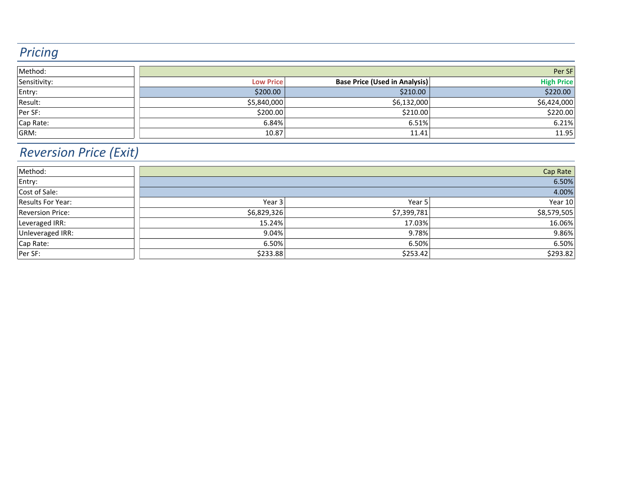# *Pricing*

| Method:      |                  |                                      | Per SF            |
|--------------|------------------|--------------------------------------|-------------------|
| Sensitivity: | <b>Low Price</b> | <b>Base Price (Used in Analysis)</b> | <b>High Price</b> |
| Entry:       | \$200.00         | \$210.00                             | \$220.00          |
| Result:      | \$5,840,000      | \$6,132,000                          | \$6,424,000       |
| Per SF:      | \$200.00         | \$210.00                             | \$220.00          |
| Cap Rate:    | 6.84%            | 6.51%                                | 6.21%             |
| GRM:         | 10.87            | 11.41                                | 11.95             |

# *Reversion Price (Exit)*

| Method:           |             |             | Cap Rate    |  |  |
|-------------------|-------------|-------------|-------------|--|--|
| Entry:            | 6.50%       |             |             |  |  |
| Cost of Sale:     |             |             | 4.00%       |  |  |
| Results For Year: | Year 3      | Year 5      | Year $10$   |  |  |
| Reversion Price:  | \$6,829,326 | \$7,399,781 | \$8,579,505 |  |  |
| Leveraged IRR:    | 15.24%      | 17.03%      | 16.06%      |  |  |
| Unleveraged IRR:  | 9.04%       | 9.78%       | 9.86%       |  |  |
| Cap Rate:         | 6.50%       | 6.50%       | 6.50%       |  |  |
| Per SF:           | \$233.88    | \$253.42    | \$293.82    |  |  |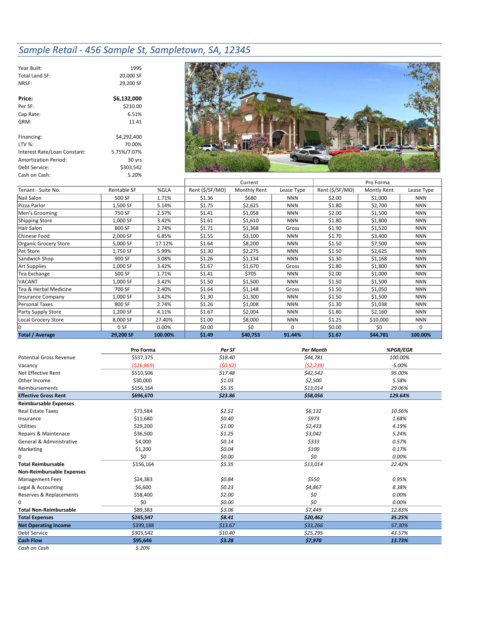#### *Sample Retail - 456 Sample St, Sampletown, SA, 12345*

| Year Built:                  | 1995        |
|------------------------------|-------------|
| Total Land SF:               | 20,000 SF   |
| NRSF:                        | 29,200 SF   |
| Price:                       | \$6.132.000 |
|                              |             |
| Per SF:                      | \$210.00    |
| Cap Rate:                    | 6.51%       |
| GRM:                         | 11.41       |
| Financing:                   | \$4,292,400 |
| LTV %:                       | 70.00%      |
| Interest Rate/Loan Constant: | 5.75%/7.07% |
| <b>Amortization Period:</b>  | 30 yrs      |
| Debt Service:                | \$303,542   |
| Cash on Cash:                | 5.20%       |



|                              |             |         | Pro Forma<br>Current |              |            |                 |             |            |
|------------------------------|-------------|---------|----------------------|--------------|------------|-----------------|-------------|------------|
| Tenant - Suite No.           | Rentable SF | %GLA    | Rent (\$/SF/MO)      | Monthly Rent | Lease Type | Rent (\$/SF/MO) | Montly Rent | Lease Type |
| Nail Salon                   | 500 SF      | 1.71%   | \$1.36               | \$680        | <b>NNN</b> | \$2.00          | \$1,000     | <b>NNN</b> |
| Pizza Parlor                 | 1,500 SF    | 5.14%   | \$1.75               | \$2,625      | <b>NNN</b> | \$1.80          | \$2,700     | <b>NNN</b> |
| Men's Grooming               | 750 SF      | 2.57%   | \$1.41               | \$1,058      | <b>NNN</b> | \$2.00          | \$1,500     | <b>NNN</b> |
| <b>Shipping Store</b>        | 1,000 SF    | 3.42%   | \$1.61               | \$1,610      | <b>NNN</b> | \$1.80          | \$1,800     | <b>NNN</b> |
| Hair Salon                   | 800 SF      | 2.74%   | \$1.71               | \$1,368      | Gross      | \$1.90          | \$1,520     | <b>NNN</b> |
| Chinese Food                 | 2,000 SF    | 6.85%   | \$1.55               | \$3,100      | <b>NNN</b> | \$1.70          | \$3,400     | <b>NNN</b> |
| <b>Organic Grocery Store</b> | 5,000 SF    | 17.12%  | \$1.64               | \$8,200      | <b>NNN</b> | \$1.50          | \$7,500     | <b>NNN</b> |
| Pet Store                    | 1,750 SF    | 5.99%   | \$1.30               | \$2,275      | <b>NNN</b> | \$1.50          | \$2,625     | <b>NNN</b> |
| Sandwich Shop                | 900 SF      | 3.08%   | \$1.26               | \$1,134      | <b>NNN</b> | \$1.30          | \$1,168     | <b>NNN</b> |
| <b>Art Supplies</b>          | 1,000 SF    | 3.42%   | \$1.67               | \$1,670      | Gross      | \$1.80          | \$1,800     | <b>NNN</b> |
| Tea Exchange                 | 500 SF      | 1.71%   | \$1.41               | \$705        | <b>NNN</b> | \$2.00          | \$1,000     | <b>NNN</b> |
| VACANT                       | 1,000 SF    | 3.42%   | \$1.50               | \$1,500      | <b>NNN</b> | \$1.50          | \$1,500     | <b>NNN</b> |
| Tea & Herbal Medicine        | 700 SF      | 2.40%   | \$1.64               | \$1,148      | Gross      | \$1.50          | \$1,050     | <b>NNN</b> |
| <b>Insurance Company</b>     | 1,000 SF    | 3.42%   | \$1.30               | \$1,300      | <b>NNN</b> | \$1.50          | \$1,500     | <b>NNN</b> |
| Personal Taxes               | 800 SF      | 2.74%   | \$1.26               | \$1,008      | <b>NNN</b> | \$1.30          | \$1,038     | <b>NNN</b> |
| Party Supply Store           | 1,200 SF    | 4.11%   | \$1.67               | \$2,004      | <b>NNN</b> | \$1.80          | \$2,160     | <b>NNN</b> |
| Local Grocery Store          | 8,000 SF    | 27.40%  | \$1.00               | \$8,000      | <b>NNN</b> | \$1.25          | \$10,000    | <b>NNN</b> |
| $\Omega$                     | 0 SF        | 0.00%   | \$0.00               | \$0          | $\Omega$   | \$0.00          | \$0         | $\Omega$   |
| <b>Total / Average</b>       | 29,200 SF   | 100.00% | \$1.49               | \$40,753     | 91.44%     | \$1.67          | \$44,781    | 100.00%    |

|                                  | Pro Forma    | Per SF  | <b>Per Month</b> | %PGR/EGR |
|----------------------------------|--------------|---------|------------------|----------|
| <b>Potential Gross Revenue</b>   | \$537,375    | \$18.40 | \$44,781         | 100.00%  |
| Vacancy                          | ( \$26, 869) | (50.92) | (52, 239)        | $-5.00%$ |
| Net Effective Rent               | \$510,506    | \$17.48 | \$42,542         | 95.00%   |
| Other Income                     | \$30,000     | \$1.03  | \$2,500          | 5.58%    |
| Reimbursements                   | \$156,164    | \$5.35  | \$13,014         | 29.06%   |
| <b>Effective Gross Rent</b>      | \$696,670    | \$23.86 | \$58,056         | 129.64%  |
| <b>Reimbursable Expenses</b>     |              |         |                  |          |
| <b>Real Estate Taxes</b>         | \$73,584     | \$2.52  | \$6,132          | 10.56%   |
| Insurance                        | \$11,680     | \$0.40  | \$973            | 1.68%    |
| <b>Utilities</b>                 | \$29,200     | \$1.00  | \$2,433          | 4.19%    |
| Repairs & Maintenace             | \$36,500     | \$1.25  | \$3,042          | 5.24%    |
| General & Administrative         | \$4,000      | \$0.14  | \$333            | 0.57%    |
| Marketing                        | \$1,200      | \$0.04  | \$100            | 0.17%    |
| 0                                | \$0          | \$0.00  | \$0              | 0.00%    |
| <b>Total Reimbursable</b>        | \$156,164    | \$5.35  | \$13,014         | 22.42%   |
| <b>Non-Reimbursable Expenses</b> |              |         |                  |          |
| <b>Management Fees</b>           | \$24,383     | \$0.84  | \$550            | 0.95%    |
| Legal & Accounting               | \$6,600      | \$0.23  | \$4,867          | 8.38%    |
| Reserves & Replacements          | \$58,400     | \$2.00  | \$0              | 0.00%    |
| 0                                | \$0          | \$0.00  | \$0              | 0.00%    |
| <b>Total Non-Reimbursable</b>    | \$89,383     | \$3.06  | \$7,449          | 12.83%   |
| <b>Total Expenses</b>            | \$245,547    | \$8.41  | \$20,462         | 35.25%   |
| <b>Net Operating Income</b>      | \$399,188    | \$13.67 | \$33,266         | 57.30%   |
| <b>Debt Service</b>              | \$303,542    | \$10.40 | \$25,295         | 43.57%   |
| <b>Cash Flow</b>                 | \$95,646     | \$3.28  | \$7,970          | 13.73%   |
| Cash on Cash                     | 5.20%        |         |                  |          |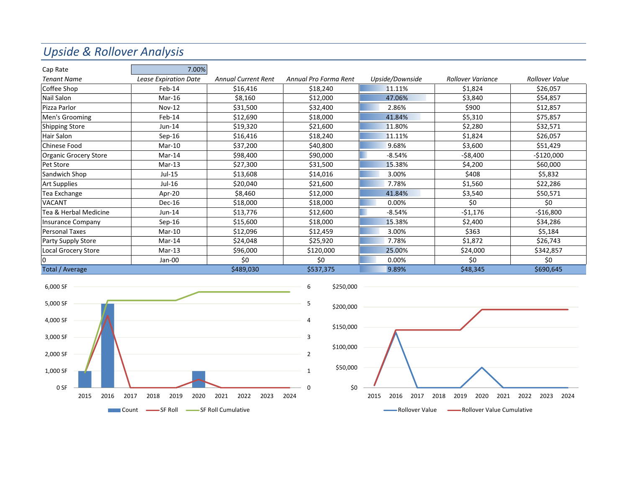#### *Upside & Rollover Analysis*

| Cap Rate               | 7.00%                        |                            |                       |                 |                   |                       |
|------------------------|------------------------------|----------------------------|-----------------------|-----------------|-------------------|-----------------------|
| <b>Tenant Name</b>     | <b>Lease Expiration Date</b> | <b>Annual Current Rent</b> | Annual Pro Forma Rent | Upside/Downside | Rollover Variance | <b>Rollover Value</b> |
| Coffee Shop            | $Feb-14$                     | \$16,416                   | \$18,240              | 11.11%          | \$1,824           | \$26,057              |
| Nail Salon             | $Mar-16$                     | \$8,160                    | \$12,000              | 47.06%          | \$3,840           | \$54,857              |
| Pizza Parlor           | $Nov-12$                     | \$31,500                   | \$32,400              | 2.86%           | \$900             | \$12,857              |
| Men's Grooming         | Feb-14                       | \$12,690                   | \$18,000              | 41.84%          | \$5,310           | \$75,857              |
| <b>Shipping Store</b>  | $Jun-14$                     | \$19,320                   | \$21,600              | 11.80%          | \$2,280           | \$32,571              |
| Hair Salon             | $Sep-16$                     | \$16,416                   | \$18,240              | 11.11%          | \$1,824           | \$26,057              |
| Chinese Food           | $Mar-10$                     | \$37,200                   | \$40,800              | 9.68%           | \$3,600           | \$51,429              |
| Organic Grocery Store  | Mar-14                       | \$98,400                   | \$90,000              | $-8.54%$        | -\$8,400          | $-$120,000$           |
| Pet Store              | $Mar-13$                     | \$27,300                   | \$31,500              | 15.38%          | \$4,200           | \$60,000              |
| Sandwich Shop          | Jul-15                       | \$13,608                   | \$14,016              | 3.00%           | \$408             | \$5,832               |
| <b>Art Supplies</b>    | Jul-16                       | \$20,040                   | \$21,600              | 7.78%           | \$1,560           | \$22,286              |
| Tea Exchange           | Apr-20                       | \$8,460                    | \$12,000              | 41.84%          | \$3,540           | \$50,571              |
| <b>VACANT</b>          | Dec-16                       | \$18,000                   | \$18,000              | 0.00%           | \$0               | \$0                   |
| Tea & Herbal Medicine  | Jun-14                       | \$13,776                   | \$12,600              | $-8.54%$        | $-51,176$         | $-$16,800$            |
| Insurance Company      | $Sep-16$                     | \$15,600                   | \$18,000              | 15.38%          | \$2,400           | \$34,286              |
| Personal Taxes         | $Mar-10$                     | \$12,096                   | \$12,459              | 3.00%           | \$363             | \$5,184               |
| Party Supply Store     | Mar-14                       | \$24,048                   | \$25,920              | 7.78%           | \$1,872           | \$26,743              |
| Local Grocery Store    | $Mar-13$                     | \$96,000                   | \$120,000             | 25.00%          | \$24,000          | \$342,857             |
| 10                     | Jan-00                       | \$0                        | \$0                   | 0.00%           | \$0               | \$0                   |
| <b>Total / Average</b> |                              | \$489,030                  | \$537,375             | 9.89%           | \$48,345          | \$690,645             |



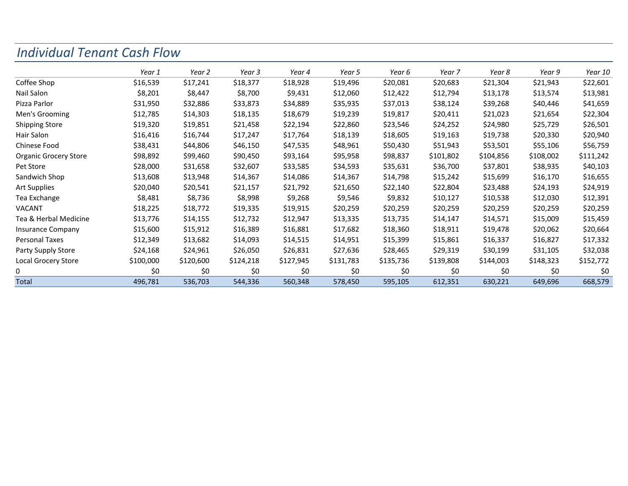| Individual Tenant Cash Flow  |           |           |           |           |           |           |                   |           |           |           |
|------------------------------|-----------|-----------|-----------|-----------|-----------|-----------|-------------------|-----------|-----------|-----------|
|                              | Year 1    | Year 2    | Year 3    | Year 4    | Year 5    | Year 6    | Year <sub>7</sub> | Year 8    | Year 9    | Year 10   |
| Coffee Shop                  | \$16,539  | \$17,241  | \$18,377  | \$18,928  | \$19,496  | \$20,081  | \$20,683          | \$21,304  | \$21,943  | \$22,601  |
| Nail Salon                   | \$8,201   | \$8,447   | \$8,700   | \$9,431   | \$12,060  | \$12,422  | \$12,794          | \$13,178  | \$13,574  | \$13,981  |
| Pizza Parlor                 | \$31,950  | \$32,886  | \$33,873  | \$34,889  | \$35,935  | \$37,013  | \$38,124          | \$39,268  | \$40,446  | \$41,659  |
| Men's Grooming               | \$12,785  | \$14,303  | \$18,135  | \$18,679  | \$19,239  | \$19,817  | \$20,411          | \$21,023  | \$21,654  | \$22,304  |
| <b>Shipping Store</b>        | \$19,320  | \$19,851  | \$21,458  | \$22,194  | \$22,860  | \$23,546  | \$24,252          | \$24,980  | \$25,729  | \$26,501  |
| Hair Salon                   | \$16,416  | \$16,744  | \$17,247  | \$17,764  | \$18,139  | \$18,605  | \$19,163          | \$19,738  | \$20,330  | \$20,940  |
| Chinese Food                 | \$38,431  | \$44,806  | \$46,150  | \$47,535  | \$48,961  | \$50,430  | \$51,943          | \$53,501  | \$55,106  | \$56,759  |
| <b>Organic Grocery Store</b> | \$98,892  | \$99,460  | \$90,450  | \$93,164  | \$95,958  | \$98,837  | \$101,802         | \$104,856 | \$108,002 | \$111,242 |
| Pet Store                    | \$28,000  | \$31,658  | \$32,607  | \$33,585  | \$34,593  | \$35,631  | \$36,700          | \$37,801  | \$38,935  | \$40,103  |
| Sandwich Shop                | \$13,608  | \$13,948  | \$14,367  | \$14,086  | \$14,367  | \$14,798  | \$15,242          | \$15,699  | \$16,170  | \$16,655  |
| Art Supplies                 | \$20,040  | \$20,541  | \$21,157  | \$21,792  | \$21,650  | \$22,140  | \$22,804          | \$23,488  | \$24,193  | \$24,919  |
| Tea Exchange                 | \$8,481   | \$8,736   | \$8,998   | \$9,268   | \$9,546   | \$9,832   | \$10,127          | \$10,538  | \$12,030  | \$12,391  |
| <b>VACANT</b>                | \$18,225  | \$18,772  | \$19,335  | \$19,915  | \$20,259  | \$20,259  | \$20,259          | \$20,259  | \$20,259  | \$20,259  |
| Tea & Herbal Medicine        | \$13,776  | \$14,155  | \$12,732  | \$12,947  | \$13,335  | \$13,735  | \$14,147          | \$14,571  | \$15,009  | \$15,459  |
| <b>Insurance Company</b>     | \$15,600  | \$15,912  | \$16,389  | \$16,881  | \$17,682  | \$18,360  | \$18,911          | \$19,478  | \$20,062  | \$20,664  |
| <b>Personal Taxes</b>        | \$12,349  | \$13,682  | \$14,093  | \$14,515  | \$14,951  | \$15,399  | \$15,861          | \$16,337  | \$16,827  | \$17,332  |
| Party Supply Store           | \$24,168  | \$24,961  | \$26,050  | \$26,831  | \$27,636  | \$28,465  | \$29,319          | \$30,199  | \$31,105  | \$32,038  |
| Local Grocery Store          | \$100,000 | \$120,600 | \$124,218 | \$127,945 | \$131,783 | \$135,736 | \$139,808         | \$144,003 | \$148,323 | \$152,772 |
| 0                            | \$0       | \$0       | \$0       | \$0       | \$0       | \$0       | \$0               | \$0       | \$0       | \$0       |
| Total                        | 496,781   | 536,703   | 544,336   | 560,348   | 578,450   | 595,105   | 612,351           | 630,221   | 649,696   | 668,579   |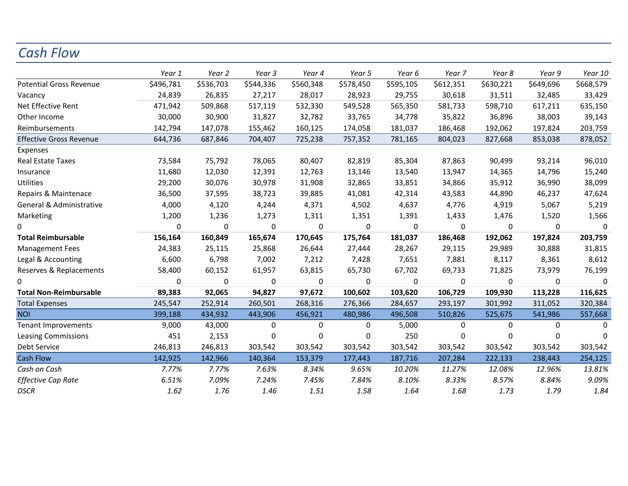# *Cash Flow*

|                                | Year 1    | Year 2    | Year 3       | Year 4      | Year 5      | Year 6    | Year 7       | Year 8    | Year 9    | Year 10   |
|--------------------------------|-----------|-----------|--------------|-------------|-------------|-----------|--------------|-----------|-----------|-----------|
| <b>Potential Gross Revenue</b> | \$496,781 | \$536,703 | \$544,336    | \$560,348   | \$578,450   | \$595,105 | \$612,351    | \$630,221 | \$649,696 | \$668,579 |
| Vacancy                        | 24,839    | 26,835    | 27,217       | 28,017      | 28,923      | 29,755    | 30,618       | 31,511    | 32,485    | 33,429    |
| Net Effective Rent             | 471,942   | 509,868   | 517,119      | 532,330     | 549,528     | 565,350   | 581,733      | 598,710   | 617,211   | 635,150   |
| Other Income                   | 30,000    | 30,900    | 31,827       | 32,782      | 33,765      | 34,778    | 35,822       | 36,896    | 38,003    | 39,143    |
| Reimbursements                 | 142,794   | 147,078   | 155,462      | 160,125     | 174,058     | 181,037   | 186,468      | 192,062   | 197,824   | 203,759   |
| <b>Effective Gross Revenue</b> | 644,736   | 687,846   | 704,407      | 725,238     | 757,352     | 781,165   | 804,023      | 827,668   | 853,038   | 878,052   |
| Expenses                       |           |           |              |             |             |           |              |           |           |           |
| <b>Real Estate Taxes</b>       | 73,584    | 75,792    | 78,065       | 80,407      | 82,819      | 85,304    | 87,863       | 90,499    | 93,214    | 96,010    |
| Insurance                      | 11,680    | 12,030    | 12,391       | 12,763      | 13,146      | 13,540    | 13,947       | 14,365    | 14,796    | 15,240    |
| Utilities                      | 29,200    | 30,076    | 30,978       | 31,908      | 32,865      | 33,851    | 34,866       | 35,912    | 36,990    | 38,099    |
| Repairs & Maintenace           | 36,500    | 37,595    | 38,723       | 39,885      | 41,081      | 42,314    | 43,583       | 44,890    | 46,237    | 47,624    |
| General & Administrative       | 4,000     | 4,120     | 4,244        | 4,371       | 4,502       | 4,637     | 4,776        | 4,919     | 5,067     | 5,219     |
| Marketing                      | 1,200     | 1,236     | 1,273        | 1,311       | 1,351       | 1,391     | 1,433        | 1,476     | 1,520     | 1,566     |
| 0                              | $\Omega$  | $\Omega$  | $\Omega$     | $\Omega$    | $\Omega$    | $\Omega$  | $\mathbf{0}$ | $\Omega$  | 0         | $\Omega$  |
| <b>Total Reimbursable</b>      | 156,164   | 160,849   | 165,674      | 170,645     | 175,764     | 181,037   | 186,468      | 192,062   | 197,824   | 203,759   |
| <b>Management Fees</b>         | 24,383    | 25,115    | 25,868       | 26,644      | 27,444      | 28,267    | 29,115       | 29,989    | 30,888    | 31,815    |
| Legal & Accounting             | 6,600     | 6,798     | 7,002        | 7,212       | 7,428       | 7,651     | 7,881        | 8,117     | 8,361     | 8,612     |
| Reserves & Replacements        | 58,400    | 60,152    | 61,957       | 63,815      | 65,730      | 67,702    | 69,733       | 71,825    | 73,979    | 76,199    |
| 0                              | $\Omega$  | $\Omega$  | 0            | $\Omega$    | 0           | $\Omega$  | $\mathbf{0}$ | $\Omega$  | 0         | $\Omega$  |
| <b>Total Non-Reimbursable</b>  | 89,383    | 92,065    | 94,827       | 97,672      | 100,602     | 103,620   | 106,729      | 109,930   | 113,228   | 116,625   |
| <b>Total Expenses</b>          | 245,547   | 252,914   | 260,501      | 268,316     | 276,366     | 284,657   | 293,197      | 301,992   | 311,052   | 320,384   |
| <b>NOI</b>                     | 399,188   | 434,932   | 443,906      | 456,921     | 480,986     | 496,508   | 510,826      | 525,675   | 541,986   | 557,668   |
| <b>Tenant Improvements</b>     | 9,000     | 43,000    | $\mathbf{0}$ | $\mathbf 0$ | $\mathbf 0$ | 5,000     | $\mathbf 0$  | 0         | 0         | $\Omega$  |
| <b>Leasing Commissions</b>     | 451       | 2,153     | 0            | 0           | 0           | 250       | $\mathbf 0$  | 0         | 0         | $\Omega$  |
| Debt Service                   | 246,813   | 246,813   | 303,542      | 303,542     | 303,542     | 303,542   | 303,542      | 303,542   | 303,542   | 303,542   |
| <b>Cash Flow</b>               | 142,925   | 142,966   | 140,364      | 153,379     | 177,443     | 187,716   | 207,284      | 222,133   | 238,443   | 254,125   |
| Cash on Cash                   | 7.77%     | 7.77%     | 7.63%        | 8.34%       | 9.65%       | 10.20%    | 11.27%       | 12.08%    | 12.96%    | 13.81%    |
| <b>Effective Cap Rate</b>      | 6.51%     | 7.09%     | 7.24%        | 7.45%       | 7.84%       | 8.10%     | 8.33%        | 8.57%     | 8.84%     | 9.09%     |
| <b>DSCR</b>                    | 1.62      | 1.76      | 1.46         | 1.51        | 1.58        | 1.64      | 1.68         | 1.73      | 1.79      | 1.84      |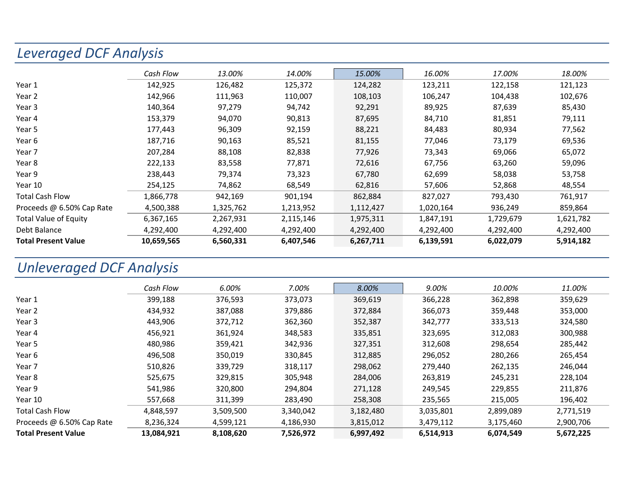### *Leveraged DCF Analysis*

|                            | Cash Flow  | 13.00%    | 14.00%    | 15.00%    | 16.00%    | 17.00%    | 18.00%    |
|----------------------------|------------|-----------|-----------|-----------|-----------|-----------|-----------|
| Year 1                     | 142,925    | 126,482   | 125,372   | 124,282   | 123,211   | 122,158   | 121,123   |
| Year 2                     | 142,966    | 111,963   | 110,007   | 108,103   | 106,247   | 104,438   | 102,676   |
| Year 3                     | 140,364    | 97,279    | 94,742    | 92,291    | 89,925    | 87,639    | 85,430    |
| Year 4                     | 153,379    | 94,070    | 90,813    | 87,695    | 84,710    | 81,851    | 79,111    |
| Year 5                     | 177,443    | 96,309    | 92,159    | 88,221    | 84,483    | 80,934    | 77,562    |
| Year 6                     | 187,716    | 90,163    | 85,521    | 81,155    | 77,046    | 73,179    | 69,536    |
| Year 7                     | 207,284    | 88,108    | 82,838    | 77,926    | 73,343    | 69,066    | 65,072    |
| Year 8                     | 222,133    | 83,558    | 77,871    | 72,616    | 67,756    | 63,260    | 59,096    |
| Year 9                     | 238,443    | 79,374    | 73,323    | 67,780    | 62,699    | 58,038    | 53,758    |
| Year 10                    | 254,125    | 74,862    | 68,549    | 62,816    | 57,606    | 52,868    | 48,554    |
| <b>Total Cash Flow</b>     | 1,866,778  | 942,169   | 901,194   | 862,884   | 827,027   | 793,430   | 761,917   |
| Proceeds @ 6.50% Cap Rate  | 4,500,388  | 1,325,762 | 1,213,952 | 1,112,427 | 1,020,164 | 936,249   | 859,864   |
| Total Value of Equity      | 6,367,165  | 2,267,931 | 2,115,146 | 1,975,311 | 1,847,191 | 1,729,679 | 1,621,782 |
| Debt Balance               | 4,292,400  | 4,292,400 | 4,292,400 | 4,292,400 | 4,292,400 | 4,292,400 | 4,292,400 |
| <b>Total Present Value</b> | 10,659,565 | 6,560,331 | 6,407,546 | 6,267,711 | 6,139,591 | 6,022,079 | 5,914,182 |

# *Unleveraged DCF Analysis*

|                            | Cash Flow  | 6.00%     | 7.00%     | 8.00%     | 9.00%     | 10.00%    | 11.00%    |
|----------------------------|------------|-----------|-----------|-----------|-----------|-----------|-----------|
| Year 1                     | 399.188    | 376,593   | 373,073   | 369,619   | 366,228   | 362,898   | 359,629   |
| Year 2                     | 434,932    | 387,088   | 379,886   | 372,884   | 366,073   | 359,448   | 353,000   |
| Year 3                     | 443.906    | 372,712   | 362,360   | 352,387   | 342,777   | 333,513   | 324,580   |
| Year 4                     | 456,921    | 361,924   | 348,583   | 335,851   | 323,695   | 312,083   | 300,988   |
| Year 5                     | 480,986    | 359,421   | 342,936   | 327,351   | 312,608   | 298,654   | 285,442   |
| Year 6                     | 496,508    | 350,019   | 330,845   | 312,885   | 296,052   | 280,266   | 265,454   |
| Year 7                     | 510,826    | 339,729   | 318,117   | 298,062   | 279,440   | 262,135   | 246,044   |
| Year 8                     | 525.675    | 329,815   | 305,948   | 284,006   | 263,819   | 245,231   | 228,104   |
| Year 9                     | 541,986    | 320,800   | 294,804   | 271,128   | 249,545   | 229,855   | 211,876   |
| Year 10                    | 557,668    | 311,399   | 283,490   | 258,308   | 235,565   | 215,005   | 196,402   |
| <b>Total Cash Flow</b>     | 4,848,597  | 3,509,500 | 3,340,042 | 3,182,480 | 3,035,801 | 2,899,089 | 2,771,519 |
| Proceeds @ 6.50% Cap Rate  | 8,236,324  | 4,599,121 | 4,186,930 | 3,815,012 | 3,479,112 | 3,175,460 | 2,900,706 |
| <b>Total Present Value</b> | 13,084,921 | 8,108,620 | 7,526,972 | 6,997,492 | 6,514,913 | 6,074,549 | 5,672,225 |